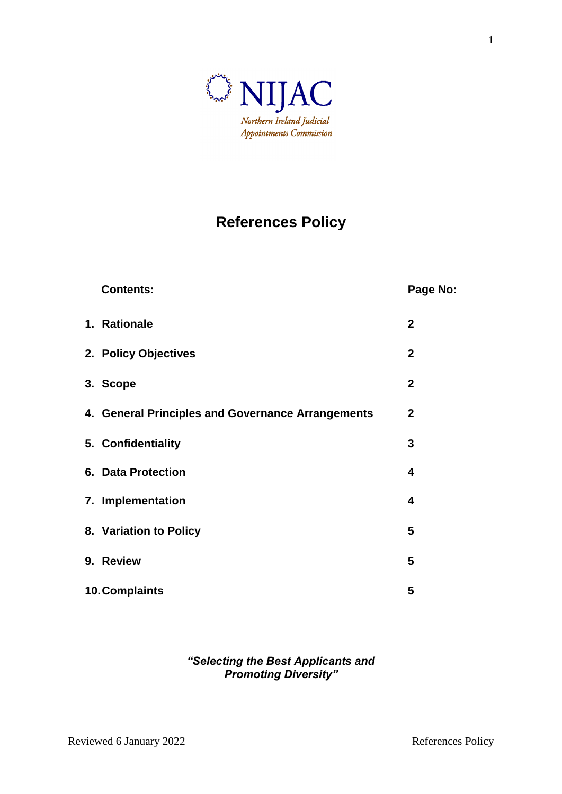

# **References Policy**

| <b>Contents:</b>                                  | Page No:         |
|---------------------------------------------------|------------------|
| 1. Rationale                                      | $\boldsymbol{2}$ |
| 2. Policy Objectives                              | $\mathbf{2}$     |
| 3. Scope                                          | $\mathbf{2}$     |
| 4. General Principles and Governance Arrangements | $\mathbf{2}$     |
| 5. Confidentiality                                | 3                |
| 6. Data Protection                                | 4                |
| 7. Implementation                                 | 4                |
| 8. Variation to Policy                            | 5                |
| 9. Review                                         | 5                |
| 10. Complaints                                    | 5                |

# *"Selecting the Best Applicants and Promoting Diversity"*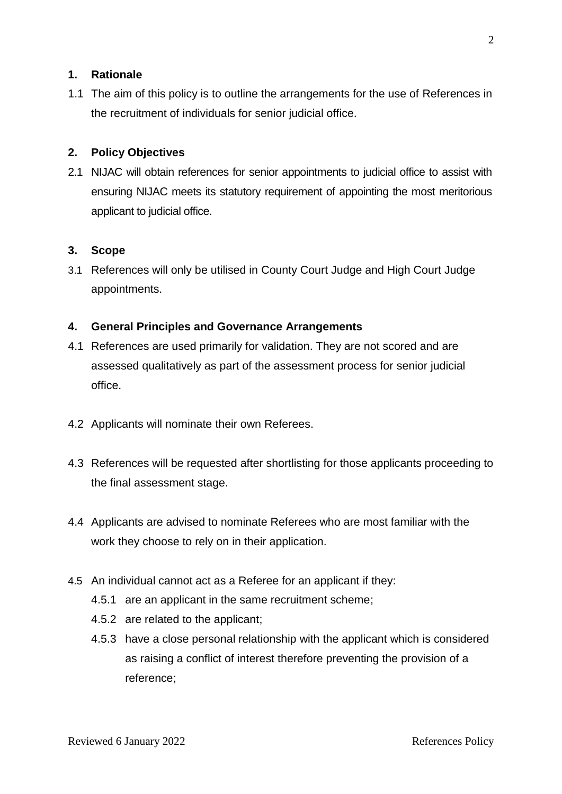## **1. Rationale**

1.1 The aim of this policy is to outline the arrangements for the use of References in the recruitment of individuals for senior judicial office.

#### **2. Policy Objectives**

2.1 NIJAC will obtain references for senior appointments to judicial office to assist with ensuring NIJAC meets its statutory requirement of appointing the most meritorious applicant to judicial office.

# **3. Scope**

3.1 References will only be utilised in County Court Judge and High Court Judge appointments.

#### **4. General Principles and Governance Arrangements**

- 4.1 References are used primarily for validation. They are not scored and are assessed qualitatively as part of the assessment process for senior judicial office.
- 4.2 Applicants will nominate their own Referees.
- 4.3 References will be requested after shortlisting for those applicants proceeding to the final assessment stage.
- 4.4 Applicants are advised to nominate Referees who are most familiar with the work they choose to rely on in their application.
- 4.5 An individual cannot act as a Referee for an applicant if they:
	- 4.5.1 are an applicant in the same recruitment scheme;
	- 4.5.2 are related to the applicant;
	- 4.5.3 have a close personal relationship with the applicant which is considered as raising a conflict of interest therefore preventing the provision of a reference;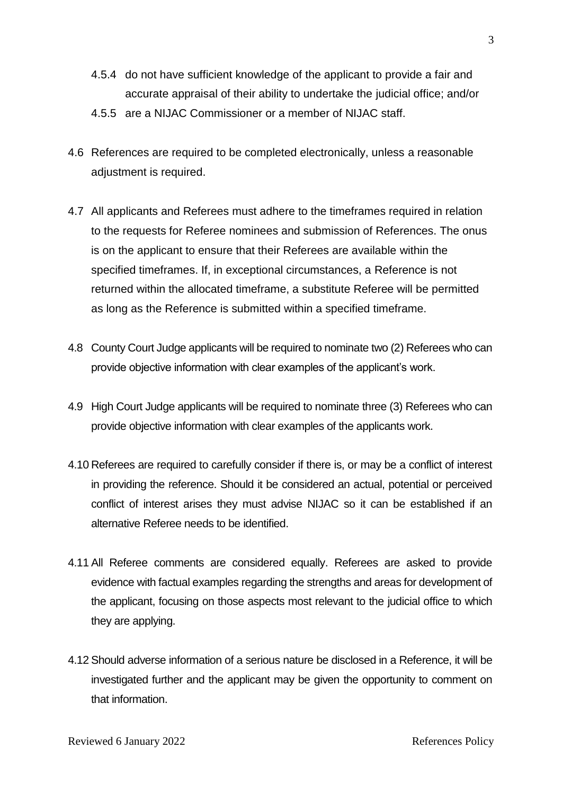- 4.5.4 do not have sufficient knowledge of the applicant to provide a fair and accurate appraisal of their ability to undertake the judicial office; and/or
- 4.5.5 are a NIJAC Commissioner or a member of NIJAC staff.
- 4.6 References are required to be completed electronically, unless a reasonable adjustment is required.
- 4.7 All applicants and Referees must adhere to the timeframes required in relation to the requests for Referee nominees and submission of References. The onus is on the applicant to ensure that their Referees are available within the specified timeframes. If, in exceptional circumstances, a Reference is not returned within the allocated timeframe, a substitute Referee will be permitted as long as the Reference is submitted within a specified timeframe.
- 4.8 County Court Judge applicants will be required to nominate two (2) Referees who can provide objective information with clear examples of the applicant's work.
- 4.9 High Court Judge applicants will be required to nominate three (3) Referees who can provide objective information with clear examples of the applicants work.
- 4.10 Referees are required to carefully consider if there is, or may be a conflict of interest in providing the reference. Should it be considered an actual, potential or perceived conflict of interest arises they must advise NIJAC so it can be established if an alternative Referee needs to be identified.
- 4.11 All Referee comments are considered equally. Referees are asked to provide evidence with factual examples regarding the strengths and areas for development of the applicant, focusing on those aspects most relevant to the judicial office to which they are applying.
- 4.12 Should adverse information of a serious nature be disclosed in a Reference, it will be investigated further and the applicant may be given the opportunity to comment on that information.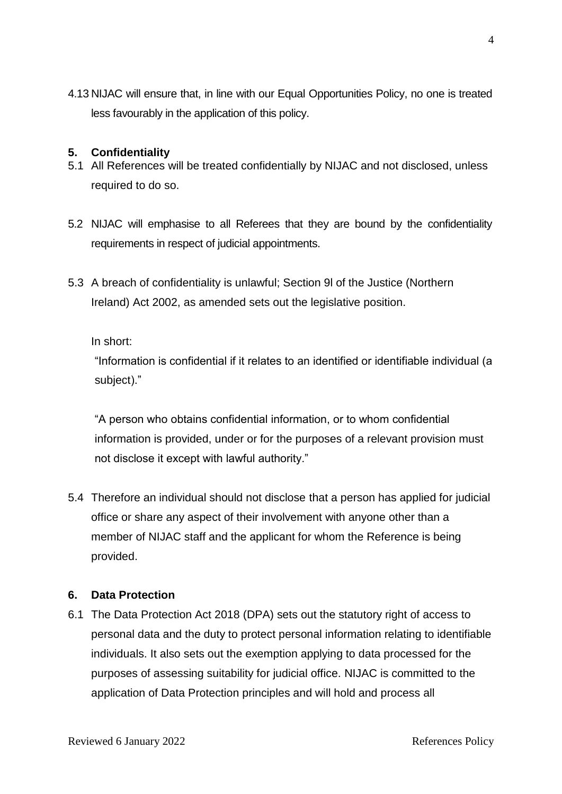4.13 NIJAC will ensure that, in line with our Equal Opportunities Policy, no one is treated less favourably in the application of this policy.

# **5. Confidentiality**

- 5.1 All References will be treated confidentially by NIJAC and not disclosed, unless required to do so.
- 5.2 NIJAC will emphasise to all Referees that they are bound by the confidentiality requirements in respect of judicial appointments.
- 5.3 A breach of confidentiality is unlawful; Section 9l of the Justice (Northern Ireland) Act 2002, as amended sets out the legislative position.

In short:

"Information is confidential if it relates to an identified or identifiable individual (a subject)."

"A person who obtains confidential information, or to whom confidential information is provided, under or for the purposes of a relevant provision must not disclose it except with lawful authority."

5.4 Therefore an individual should not disclose that a person has applied for judicial office or share any aspect of their involvement with anyone other than a member of NIJAC staff and the applicant for whom the Reference is being provided.

# **6. Data Protection**

6.1 The Data Protection Act 2018 (DPA) sets out the statutory right of access to personal data and the duty to protect personal information relating to identifiable individuals. It also sets out the exemption applying to data processed for the purposes of assessing suitability for judicial office. NIJAC is committed to the application of Data Protection principles and will hold and process all